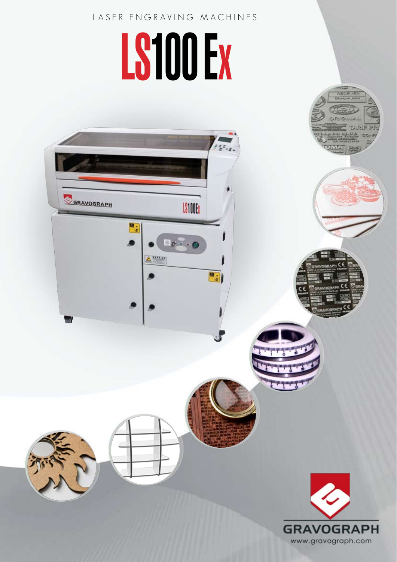## LASER ENGRAVING MACHINES

# LS100 EX